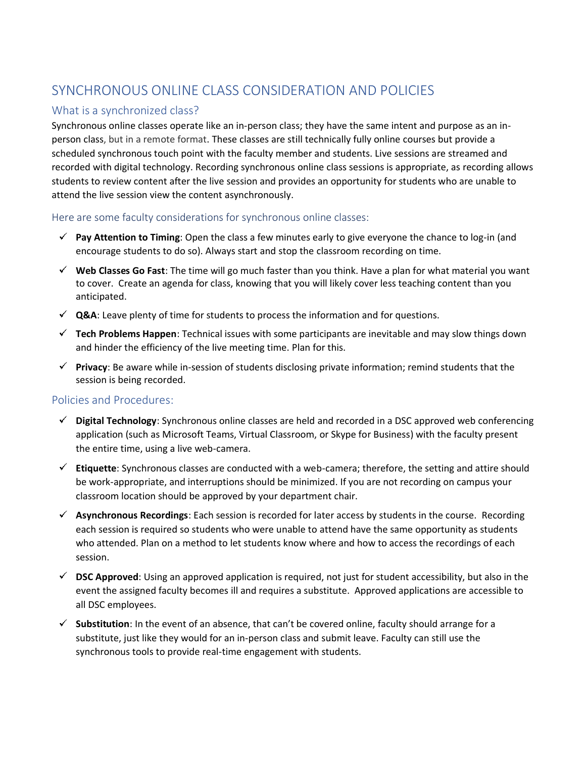# SYNCHRONOUS ONLINE CLASS CONSIDERATION AND POLICIES

## What is a synchronized class?

Synchronous online classes operate like an in-person class; they have the same intent and purpose as an inperson class, but in a remote format. These classes are still technically fully online courses but provide a scheduled synchronous touch point with the faculty member and students. Live sessions are streamed and recorded with digital technology. Recording synchronous online class sessions is appropriate, as recording allows students to review content after the live session and provides an opportunity for students who are unable to attend the live session view the content asynchronously.

#### Here are some faculty considerations for synchronous online classes:

- **Pay Attention to Timing**: Open the class a few minutes early to give everyone the chance to log-in (and encourage students to do so). Always start and stop the classroom recording on time.
- **Web Classes Go Fast**: The time will go much faster than you think. Have a plan for what material you want to cover. Create an agenda for class, knowing that you will likely cover less teaching content than you anticipated.
- **√ Q&A**: Leave plenty of time for students to process the information and for questions.
- **Tech Problems Happen**: Technical issues with some participants are inevitable and may slow things down and hinder the efficiency of the live meeting time. Plan for this.
- **Privacy**: Be aware while in-session of students disclosing private information; remind students that the session is being recorded.

#### Policies and Procedures:

- **Digital Technology**: Synchronous online classes are held and recorded in a DSC approved web conferencing application (such as Microsoft Teams, Virtual Classroom, or Skype for Business) with the faculty present the entire time, using a live web-camera.
- **Etiquette**: Synchronous classes are conducted with a web-camera; therefore, the setting and attire should be work-appropriate, and interruptions should be minimized. If you are not recording on campus your classroom location should be approved by your department chair.
- **Asynchronous Recordings**: Each session is recorded for later access by students in the course. Recording each session is required so students who were unable to attend have the same opportunity as students who attended. Plan on a method to let students know where and how to access the recordings of each session.
- **DSC Approved**: Using an approved application is required, not just for student accessibility, but also in the event the assigned faculty becomes ill and requires a substitute. Approved applications are accessible to all DSC employees.
- **Substitution**: In the event of an absence, that can't be covered online, faculty should arrange for a substitute, just like they would for an in-person class and submit leave. Faculty can still use the synchronous tools to provide real-time engagement with students.